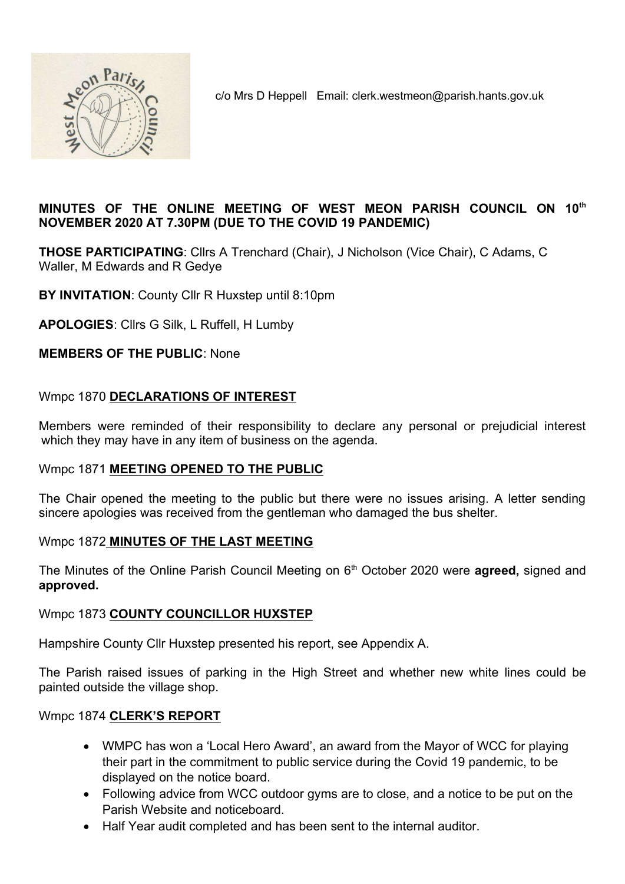

c/o Mrs D Heppell Email: clerk.westmeon@parish.hants.gov.uk

### MINUTES OF THE ONLINE MEETING OF WEST MEON PARISH COUNCIL ON 10th NOVEMBER 2020 AT 7.30PM (DUE TO THE COVID 19 PANDEMIC)

THOSE PARTICIPATING: Cllrs A Trenchard (Chair), J Nicholson (Vice Chair), C Adams, C Waller, M Edwards and R Gedye

BY INVITATION: County Cllr R Huxstep until 8:10pm

APOLOGIES: Cllrs G Silk, L Ruffell, H Lumby

MEMBERS OF THE PUBLIC: None

### Wmpc 1870 DECLARATIONS OF INTEREST

Members were reminded of their responsibility to declare any personal or prejudicial interest which they may have in any item of business on the agenda.

### Wmpc 1871 MEETING OPENED TO THE PUBLIC

The Chair opened the meeting to the public but there were no issues arising. A letter sending sincere apologies was received from the gentleman who damaged the bus shelter.

### Wmpc 1872 MINUTES OF THE LAST MEETING

The Minutes of the Online Parish Council Meeting on 6<sup>th</sup> October 2020 were agreed, signed and approved.

### Wmpc 1873 COUNTY COUNCILLOR HUXSTEP

Hampshire County Cllr Huxstep presented his report, see Appendix A.

The Parish raised issues of parking in the High Street and whether new white lines could be painted outside the village shop.

### Wmpc 1874 CLERK'S REPORT

- WMPC has won a 'Local Hero Award', an award from the Mayor of WCC for playing their part in the commitment to public service during the Covid 19 pandemic, to be displayed on the notice board.
- Following advice from WCC outdoor gyms are to close, and a notice to be put on the Parish Website and noticeboard.
- Half Year audit completed and has been sent to the internal auditor.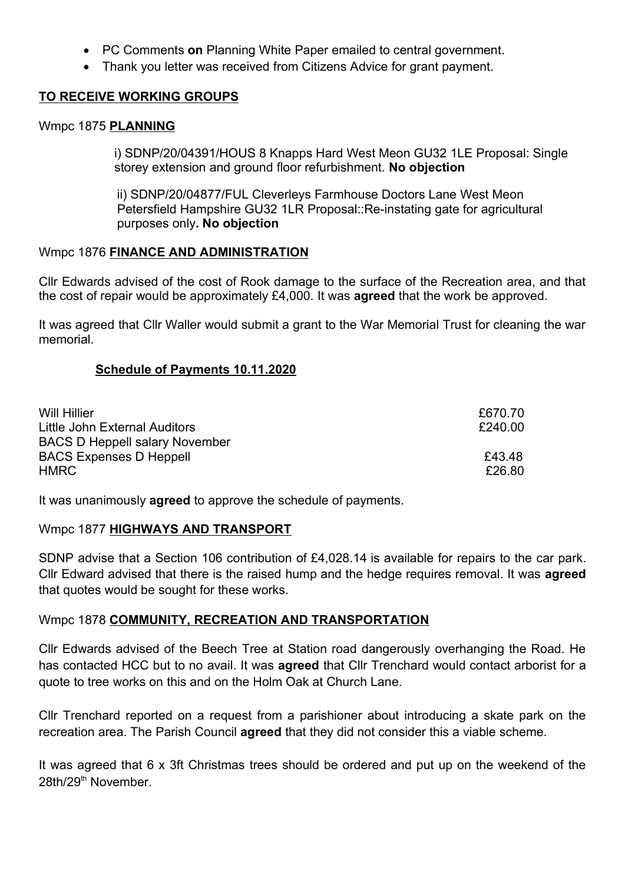- PC Comments on Planning White Paper emailed to central government.
- Thank you letter was received from Citizens Advice for grant payment.

### TO RECEIVE WORKING GROUPS

#### Wmpc 1875 PLANNING

i) SDNP/20/04391/HOUS 8 Knapps Hard West Meon GU32 1LE Proposal: Single storey extension and ground floor refurbishment. No objection

ii) SDNP/20/04877/FUL Cleverleys Farmhouse Doctors Lane West Meon Petersfield Hampshire GU32 1LR Proposal::Re-instating gate for agricultural purposes only. No objection

### Wmpc 1876 FINANCE AND ADMINISTRATION

Cllr Edwards advised of the cost of Rook damage to the surface of the Recreation area, and that the cost of repair would be approximately £4,000. It was agreed that the work be approved.

It was agreed that Cllr Waller would submit a grant to the War Memorial Trust for cleaning the war memorial.

### Schedule of Payments 10.11.2020

| Will Hillier                          | £670.70 |
|---------------------------------------|---------|
| Little John External Auditors         | £240.00 |
| <b>BACS D Heppell salary November</b> |         |
| <b>BACS Expenses D Heppell</b>        | £43.48  |
| HMRC.                                 | £26.80  |
|                                       |         |

It was unanimously **agreed** to approve the schedule of payments.

### Wmpc 1877 HIGHWAYS AND TRANSPORT

SDNP advise that a Section 106 contribution of £4,028.14 is available for repairs to the car park. Cllr Edward advised that there is the raised hump and the hedge requires removal. It was **agreed** that quotes would be sought for these works.

### Wmpc 1878 COMMUNITY, RECREATION AND TRANSPORTATION

Cllr Edwards advised of the Beech Tree at Station road dangerously overhanging the Road. He has contacted HCC but to no avail. It was **agreed** that Cllr Trenchard would contact arborist for a quote to tree works on this and on the Holm Oak at Church Lane.

Cllr Trenchard reported on a request from a parishioner about introducing a skate park on the recreation area. The Parish Council **agreed** that they did not consider this a viable scheme.

It was agreed that 6 x 3ft Christmas trees should be ordered and put up on the weekend of the 28th/29<sup>th</sup> November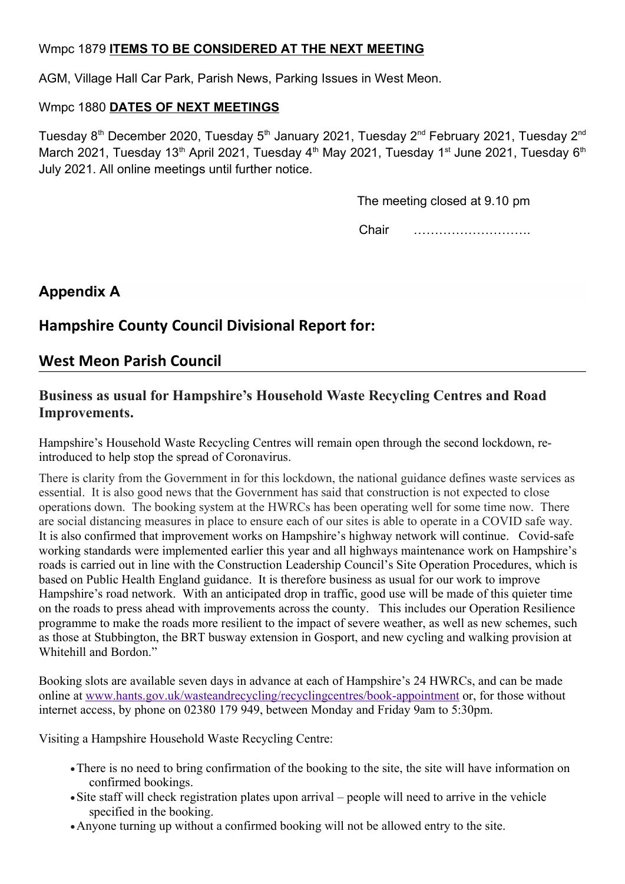## Wmpc 1879 ITEMS TO BE CONSIDERED AT THE NEXT MEETING

AGM, Village Hall Car Park, Parish News, Parking Issues in West Meon.

### Wmpc 1880 DATES OF NEXT MEETINGS

Tuesday 8<sup>th</sup> December 2020, Tuesday 5<sup>th</sup> January 2021, Tuesday 2<sup>nd</sup> February 2021, Tuesday 2<sup>nd</sup> March 2021, Tuesday 13<sup>th</sup> April 2021, Tuesday 4<sup>th</sup> May 2021, Tuesday 1<sup>st</sup> June 2021, Tuesday 6<sup>th</sup> July 2021. All online meetings until further notice.

The meeting closed at 9.10 pm

Chair ……………………….

# Appendix A

# Hampshire County Council Divisional Report for:

# West Meon Parish Council

# Business as usual for Hampshire's Household Waste Recycling Centres and Road Improvements.

Hampshire's Household Waste Recycling Centres will remain open through the second lockdown, reintroduced to help stop the spread of Coronavirus.

There is clarity from the Government in for this lockdown, the national guidance defines waste services as essential. It is also good news that the Government has said that construction is not expected to close operations down. The booking system at the HWRCs has been operating well for some time now. There are social distancing measures in place to ensure each of our sites is able to operate in a COVID safe way. It is also confirmed that improvement works on Hampshire's highway network will continue. Covid-safe working standards were implemented earlier this year and all highways maintenance work on Hampshire's roads is carried out in line with the Construction Leadership Council's Site Operation Procedures, which is based on Public Health England guidance. It is therefore business as usual for our work to improve Hampshire's road network. With an anticipated drop in traffic, good use will be made of this quieter time on the roads to press ahead with improvements across the county. This includes our Operation Resilience programme to make the roads more resilient to the impact of severe weather, as well as new schemes, such as those at Stubbington, the BRT busway extension in Gosport, and new cycling and walking provision at Whitehill and Bordon<sup>"</sup>

Booking slots are available seven days in advance at each of Hampshire's 24 HWRCs, and can be made online at www.hants.gov.uk/wasteandrecycling/recyclingcentres/book-appointment or, for those without internet access, by phone on 02380 179 949, between Monday and Friday 9am to 5:30pm.

Visiting a Hampshire Household Waste Recycling Centre:

- There is no need to bring confirmation of the booking to the site, the site will have information on confirmed bookings.
- Site staff will check registration plates upon arrival people will need to arrive in the vehicle specified in the booking.
- Anyone turning up without a confirmed booking will not be allowed entry to the site.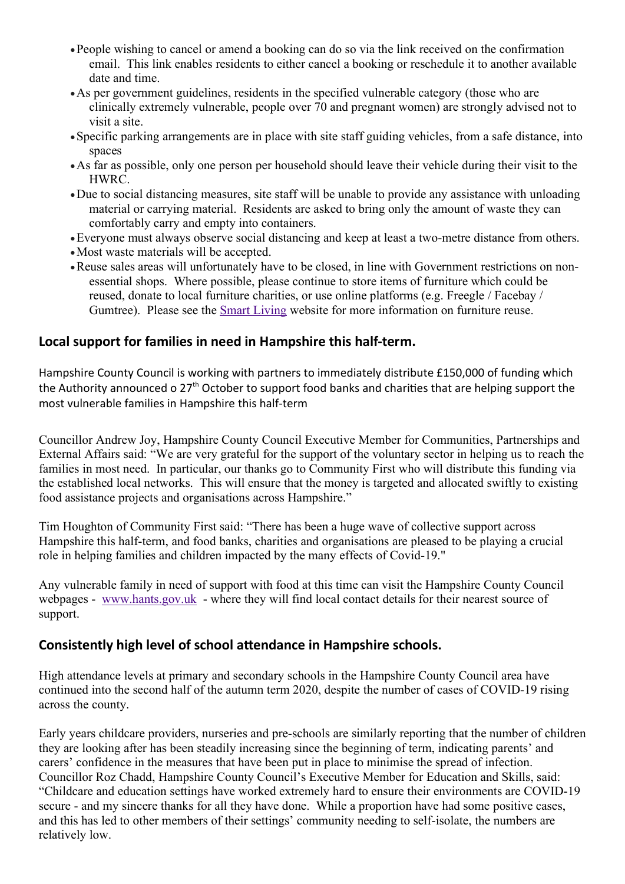- People wishing to cancel or amend a booking can do so via the link received on the confirmation email. This link enables residents to either cancel a booking or reschedule it to another available date and time.
- As per government guidelines, residents in the specified vulnerable category (those who are clinically extremely vulnerable, people over 70 and pregnant women) are strongly advised not to visit a site.
- Specific parking arrangements are in place with site staff guiding vehicles, from a safe distance, into spaces
- As far as possible, only one person per household should leave their vehicle during their visit to the HWRC.
- Due to social distancing measures, site staff will be unable to provide any assistance with unloading material or carrying material. Residents are asked to bring only the amount of waste they can comfortably carry and empty into containers.
- Everyone must always observe social distancing and keep at least a two-metre distance from others.
- Most waste materials will be accepted.
- Reuse sales areas will unfortunately have to be closed, in line with Government restrictions on nonessential shops. Where possible, please continue to store items of furniture which could be reused, donate to local furniture charities, or use online platforms (e.g. Freegle / Facebay / Gumtree). Please see the Smart Living website for more information on furniture reuse.

## Local support for families in need in Hampshire this half-term.

Hampshire County Council is working with partners to immediately distribute £150,000 of funding which the Authority announced o 27<sup>th</sup> October to support food banks and charities that are helping support the most vulnerable families in Hampshire this half-term

Councillor Andrew Joy, Hampshire County Council Executive Member for Communities, Partnerships and External Affairs said: "We are very grateful for the support of the voluntary sector in helping us to reach the families in most need. In particular, our thanks go to Community First who will distribute this funding via the established local networks. This will ensure that the money is targeted and allocated swiftly to existing food assistance projects and organisations across Hampshire."

Tim Houghton of Community First said: "There has been a huge wave of collective support across Hampshire this half-term, and food banks, charities and organisations are pleased to be playing a crucial role in helping families and children impacted by the many effects of Covid-19."

Any vulnerable family in need of support with food at this time can visit the Hampshire County Council webpages - www.hants.gov.uk - where they will find local contact details for their nearest source of support.

## Consistently high level of school attendance in Hampshire schools.

High attendance levels at primary and secondary schools in the Hampshire County Council area have continued into the second half of the autumn term 2020, despite the number of cases of COVID-19 rising across the county.

Early years childcare providers, nurseries and pre-schools are similarly reporting that the number of children they are looking after has been steadily increasing since the beginning of term, indicating parents' and carers' confidence in the measures that have been put in place to minimise the spread of infection. Councillor Roz Chadd, Hampshire County Council's Executive Member for Education and Skills, said: "Childcare and education settings have worked extremely hard to ensure their environments are COVID-19 secure - and my sincere thanks for all they have done. While a proportion have had some positive cases, and this has led to other members of their settings' community needing to self-isolate, the numbers are relatively low.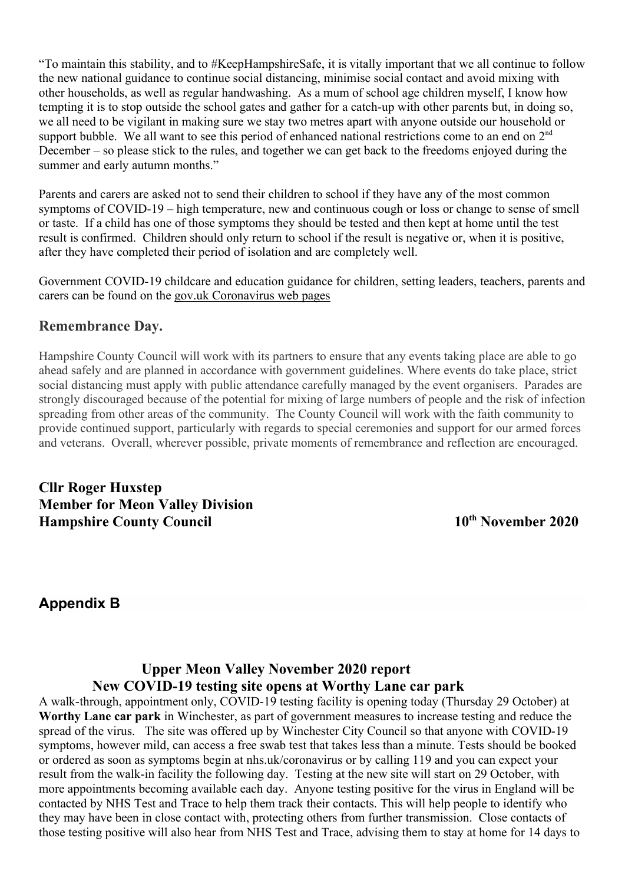"To maintain this stability, and to #KeepHampshireSafe, it is vitally important that we all continue to follow the new national guidance to continue social distancing, minimise social contact and avoid mixing with other households, as well as regular handwashing. As a mum of school age children myself, I know how tempting it is to stop outside the school gates and gather for a catch-up with other parents but, in doing so, we all need to be vigilant in making sure we stay two metres apart with anyone outside our household or support bubble. We all want to see this period of enhanced national restrictions come to an end on  $2<sup>nd</sup>$ December – so please stick to the rules, and together we can get back to the freedoms enjoyed during the summer and early autumn months."

Parents and carers are asked not to send their children to school if they have any of the most common symptoms of COVID-19 – high temperature, new and continuous cough or loss or change to sense of smell or taste. If a child has one of those symptoms they should be tested and then kept at home until the test result is confirmed. Children should only return to school if the result is negative or, when it is positive, after they have completed their period of isolation and are completely well.

Government COVID-19 childcare and education guidance for children, setting leaders, teachers, parents and carers can be found on the gov.uk Coronavirus web pages

# Remembrance Day.

Hampshire County Council will work with its partners to ensure that any events taking place are able to go ahead safely and are planned in accordance with government guidelines. Where events do take place, strict social distancing must apply with public attendance carefully managed by the event organisers. Parades are strongly discouraged because of the potential for mixing of large numbers of people and the risk of infection spreading from other areas of the community. The County Council will work with the faith community to provide continued support, particularly with regards to special ceremonies and support for our armed forces and veterans. Overall, wherever possible, private moments of remembrance and reflection are encouraged.

Cllr Roger Huxstep Member for Meon Valley Division Hampshire County Council 10<sup>th</sup> November 2020

# Appendix B

# Upper Meon Valley November 2020 report New COVID-19 testing site opens at Worthy Lane car park

A walk-through, appointment only, COVID-19 testing facility is opening today (Thursday 29 October) at Worthy Lane car park in Winchester, as part of government measures to increase testing and reduce the spread of the virus. The site was offered up by Winchester City Council so that anyone with COVID-19 symptoms, however mild, can access a free swab test that takes less than a minute. Tests should be booked or ordered as soon as symptoms begin at nhs.uk/coronavirus or by calling 119 and you can expect your result from the walk-in facility the following day. Testing at the new site will start on 29 October, with more appointments becoming available each day. Anyone testing positive for the virus in England will be contacted by NHS Test and Trace to help them track their contacts. This will help people to identify who they may have been in close contact with, protecting others from further transmission. Close contacts of those testing positive will also hear from NHS Test and Trace, advising them to stay at home for 14 days to